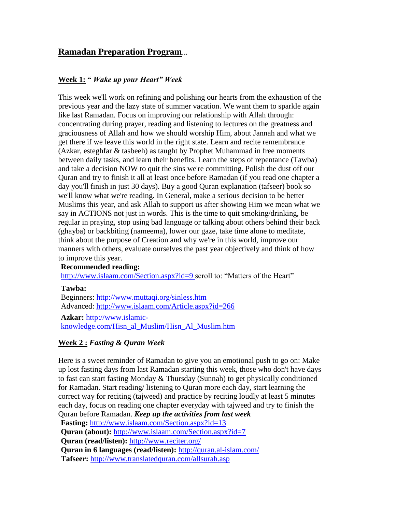# **Ramadan Preparation Program**...

# **Week 1: "** *Wake up your Heart" Week*

This week we'll work on refining and polishing our hearts from the exhaustion of the previous year and the lazy state of summer vacation. We want them to sparkle again like last Ramadan. Focus on improving our relationship with Allah through: concentrating during prayer, reading and listening to lectures on the greatness and graciousness of Allah and how we should worship Him, about Jannah and what we get there if we leave this world in the right state. Learn and recite remembrance (Azkar, esteghfar & tasbeeh) as taught by Prophet Muhammad in free moments between daily tasks, and learn their benefits. Learn the steps of repentance (Tawba) and take a decision NOW to quit the sins we're committing. Polish the dust off our Quran and try to finish it all at least once before Ramadan (if you read one chapter a day you'll finish in just 30 days). Buy a good Quran explanation (tafseer) book so we'll know what we're reading. In General, make a serious decision to be better Muslims this year, and ask Allah to support us after showing Him we mean what we say in ACTIONS not just in words. This is the time to quit smoking/drinking, be regular in praying, stop using bad language or talking about others behind their back (ghayba) or backbiting (nameema), lower our gaze, take time alone to meditate, think about the purpose of Creation and why we're in this world, improve our manners with others, evaluate ourselves the past year objectively and think of how to improve this year.

#### **Recommended reading:**

[http://www.islaam.com/Section.aspx?id=9 s](http://www.islaam.com/Section.aspx?id=9)croll to: "Matters of the Heart"

#### **Tawba:**

Beginners:<http://www.muttaqi.org/sinless.htm> Advanced:<http://www.islaam.com/Article.aspx?id=266>

**Azkar:** [http://www.islamic](http://www.islamic-knowledge.com/Hisn_al_Muslim/Hisn_Al_Muslim.htm)[knowledge.com/Hisn\\_al\\_Muslim/Hisn\\_Al\\_Muslim.htm](http://www.islamic-knowledge.com/Hisn_al_Muslim/Hisn_Al_Muslim.htm)

#### **Week 2 :** *Fasting & Quran Week*

Here is a sweet reminder of Ramadan to give you an emotional push to go on: Make up lost fasting days from last Ramadan starting this week, those who don't have days to fast can start fasting Monday & Thursday (Sunnah) to get physically conditioned for Ramadan. Start reading/ listening to Quran more each day, start learning the correct way for reciting (tajweed) and practice by reciting loudly at least 5 minutes each day, focus on reading one chapter everyday with tajweed and try to finish the Quran before Ramadan. *Keep up the activities from last week* 

**Fasting:** <http://www.islaam.com/Section.aspx?id=13>

**Quran (about):** <http://www.islaam.com/Section.aspx?id=7>

**Quran (read/listen):** <http://www.reciter.org/>

**Quran in 6 languages (read/listen):** <http://quran.al-islam.com/>

**Tafseer:** <http://www.translatedquran.com/allsurah.asp>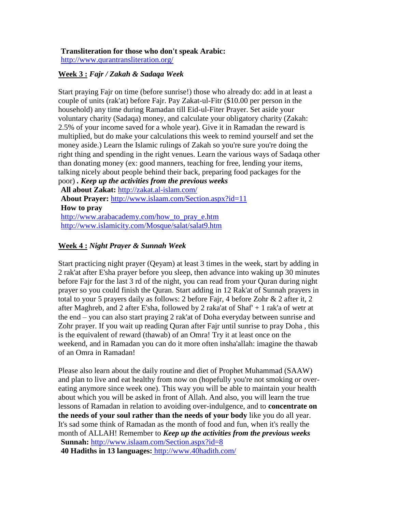## **Transliteration for those who don't speak Arabic:**

<http://www.qurantransliteration.org/>

#### **Week 3 :** *Fajr / Zakah & Sadaqa Week*

Start praying Fajr on time (before sunrise!) those who already do: add in at least a couple of units (rak'at) before Fajr. Pay Zakat-ul-Fitr (\$10.00 per person in the household) any time during Ramadan till Eid-ul-Fiter Prayer. Set aside your voluntary charity (Sadaqa) money, and calculate your obligatory charity (Zakah: 2.5% of your income saved for a whole year). Give it in Ramadan the reward is multiplied, but do make your calculations this week to remind yourself and set the money aside.) Learn the Islamic rulings of Zakah so you're sure you're doing the right thing and spending in the right venues. Learn the various ways of Sadaqa other than donating money (ex: good manners, teaching for free, lending your items, talking nicely about people behind their back, preparing food packages for the poor) *. Keep up the activities from the previous weeks* 

**All about Zakat:** <http://zakat.al-islam.com/> **About Prayer:** <http://www.islaam.com/Section.aspx?id=11> **How to pray** [http://www.arabacademy.com/how\\_to\\_pray\\_e.htm](http://www.arabacademy.com/how_to_pray_e.htm)  <http://www.islamicity.com/Mosque/salat/salat9.htm>

## **Week 4 :** *Night Prayer & Sunnah Week*

Start practicing night prayer (Qeyam) at least 3 times in the week, start by adding in 2 rak'at after E'sha prayer before you sleep, then advance into waking up 30 minutes before Fajr for the last 3 rd of the night, you can read from your Quran during night prayer so you could finish the Quran. Start adding in 12 Rak'at of Sunnah prayers in total to your 5 prayers daily as follows: 2 before Fajr, 4 before Zohr & 2 after it, 2 after Maghreb, and 2 after E'sha, followed by 2 raka'at of Shaf' + 1 rak'a of wetr at the end – you can also start praying 2 rak'at of Doha everyday between sunrise and Zohr prayer. If you wait up reading Quran after Fajr until sunrise to pray Doha , this is the equivalent of reward (thawab) of an Omra! Try it at least once on the weekend, and in Ramadan you can do it more often insha'allah: imagine the thawab of an Omra in Ramadan!

Please also learn about the daily routine and diet of Prophet Muhammad (SAAW) and plan to live and eat healthy from now on (hopefully you're not smoking or overeating anymore since week one). This way you will be able to maintain your health about which you will be asked in front of Allah. And also, you will learn the true lessons of Ramadan in relation to avoiding over-indulgence, and to **concentrate on the needs of your soul rather than the needs of your body** like you do all year. It's sad some think of Ramadan as the month of food and fun, when it's really the month of ALLAH! Remember to *Keep up the activities from the previous weeks*  **Sunnah:** <http://www.islaam.com/Section.aspx?id=8> **40 Hadiths in 13 languages:** <http://www.40hadith.com/>